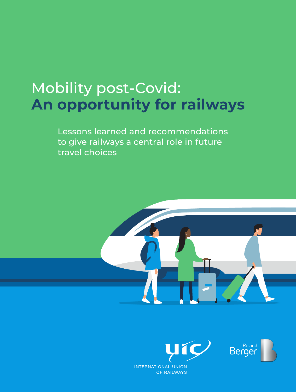# Mobility post-Covid: **An opportunity for railways**

Lessons learned and recommendations to give railways a central role in future travel choices



Roland<br>Berger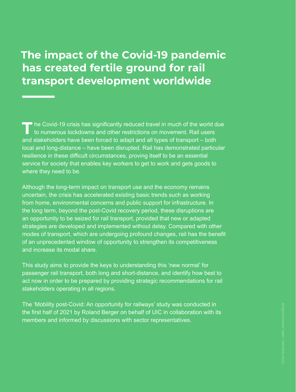## **The impact of the Covid-19 pandemic has created fertile ground for rail transport development worldwide**

TT he Covid-19 crisis has significantly reduced travel in much of the world due<br>to numerous lockdowns and other restrictions on movement. Rail users and stakeholders have been forced to adapt and all types of transport – both local and long-distance – have been disrupted. Rail has demonstrated particular resilience in these difficult circumstances, proving itself to be an essential service for society that enables key workers to get to work and gets goods to where they need to be.

Although the long-term impact on transport use and the economy remains uncertain, the crisis has accelerated existing basic trends such as working from home, environmental concerns and public support for infrastructure. In the long term, beyond the post-Covid recovery period, these disruptions are an opportunity to be seized for rail transport, provided that new or adapted strategies are developed and implemented without delay. Compared with other modes of transport, which are undergoing profound changes, rail has the benefit of an unprecedented window of opportunity to strengthen its competitiveness and increase its modal share.

This study aims to provide the keys to understanding this 'new normal' for passenger rail transport, both long and short-distance, and identify how best to act now in order to be prepared by providing strategic recommendations for rail stakeholders operating in all regions.

The 'Mobility post-Covid: An opportunity for railways' study was conducted in the first half of 2021 by Roland Berger on behalf of UIC in collaboration with its members and informed by discussions with sector representatives.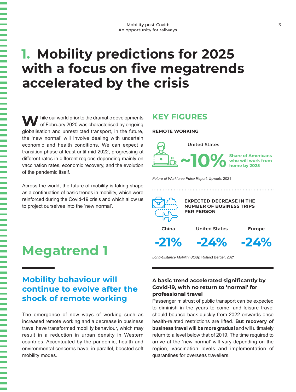# **1. Mobility predictions for 2025 with a focus on five megatrends accelerated by the crisis**

 $\blacksquare$  hile our world prior to the dramatic developments of February 2020 was characterised by ongoing globalisation and unrestricted transport, in the future, the 'new normal' will involve dealing with uncertain economic and health conditions. We can expect a transition phase at least until mid-2022, progressing at different rates in different regions depending mainly on vaccination rates, economic recovery, and the evolution of the pandemic itself.

Across the world, the future of mobility is taking shape as a continuation of basic trends in mobility, which were reinforced during the Covid-19 crisis and which allow us to project ourselves into the 'new normal'.

## **Megatrend 1**

### **Mobility behaviour will continue to evolve after the shock of remote working**

The emergence of new ways of working such as increased remote working and a decrease in business travel have transformed mobility behaviour, which may result in a reduction in urban density in Western countries. Accentuated by the pandemic, health and environmental concerns have, in parallel, boosted soft mobility modes.

### **KEY FIGURES**

### **REMOTE WORKING**



*[Future of Workforce Pulse Report](https://www.cnbc.com/2020/12/15/one-in-four-americans-will-be-working-remotely-in-2021-survey.html),* Upwork, 2021



**-21% -24% -24%**

*[Long-Distance Mobility Study](https://www.rolandberger.com/en/Insights/Publications/The-future-of-long-distance-mobility-How-Covid-changed-consumer-appetites.html),* Roland Berger, 2021

### **A basic trend accelerated significantly by Covid-19, with no return to 'normal' for professional travel**

Passenger mistrust of public transport can be expected to diminish in the years to come, and leisure travel should bounce back quickly from 2022 onwards once health-related restrictions are lifted. **But recovery of business travel will be more gradual** and will ultimately return to a level below that of 2019. The time required to arrive at the 'new normal' will vary depending on the region, vaccination levels and implementation of quarantines for overseas travellers.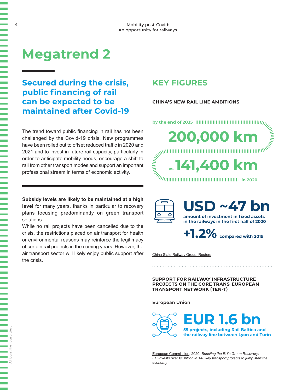## **Megatrend 2**

### **Secured during the crisis, public financing of rail can be expected to be maintained after Covid-19**

The trend toward public financing in rail has not been challenged by the Covid-19 crisis. New programmes have been rolled out to offset reduced traffic in 2020 and 2021 and to invest in future rail capacity, particularly in order to anticipate mobility needs, encourage a shift to rail from other transport modes and support an important professional stream in terms of economic activity.

**Subsidy levels are likely to be maintained at a high level** for many years, thanks in particular to recovery plans focusing predominantly on green transport solutions.

While no rail projects have been cancelled due to the crisis, the restrictions placed on air transport for health or environmental reasons may reinforce the legitimacy of certain rail projects in the coming years. However, the air transport sector will likely enjoy public support after the crisis.

All icons: the noun project

## **KEY FIGURES**

### **CHINA'S NEW RAIL LINE AMBITIONS**

- **by the end of 2035 in 2020 vs. 200,000 km 141,400 km**
	- SD ~47 b  $\overline{O}$ **amount of investment in fixed assets in the railways in the first half of 2020**

**+1.2% compared with 2019**

[China State Railway Group, Reuters](https://www.ndrc.gov.cn/xwdt/xwfb/202012/t20201204_1252245.html?code=&state=123)

**SUPPORT FOR RAILWAY INFRASTRUCTURE PROJECTS ON THE CORE TRANS-EUROPEAN TRANSPORT NETWORK (TEN-T)**

**European Union**

**EUR** 1.6 **55 projects, including Rail Baltica and the railway line between Lyon and Turin**

[European Commission,](https://ec.europa.eu/commission/presscorner/detail/en/IP_20_1336) 2020, *Boosting the EU's Green Recovery: EU invests over €2 billion in 140 key transport projects to jump start the economy*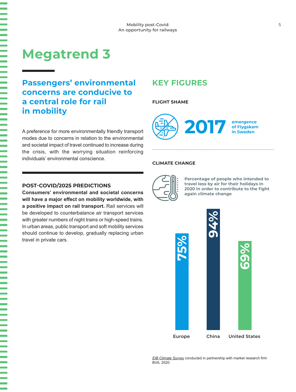## **Megatrend 3**

## **Passengers' environmental concerns are conducive to a central role for rail in mobility**

A preference for more environmentally friendly transport modes due to concerns in relation to the environmental and societal impact of travel continued to increase during the crisis, with the worrying situation reinforcing individuals' environmental conscience.

### **POST-COVID/2025 PREDICTIONS**

**Consumers' environmental and societal concerns will have a major effect on mobility worldwide, with a positive impact on rail transport.** Rail services will be developed to counterbalance air transport services with greater numbers of night trains or high-speed trains. In urban areas, public transport and soft mobility services should continue to develop, gradually replacing urban travel in private cars.

## **KEY FIGURES**

### **FLIGHT SHAME**



### **CLIMATE CHANGE**



**Percentage of people who intended to travel less by air for their holidays in 2020 in order to contribute to the fight again climate change** 



*[EIB Climate Survey](https://www.eib.org/en/surveys/2nd-climate-survey/new-years-resolutions.htm)* conducted in partnership with market research firm BVA, 2020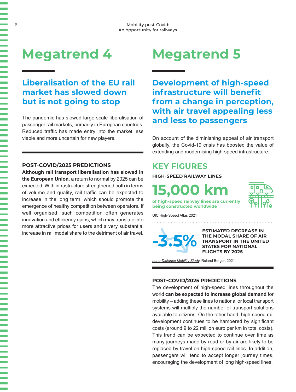## **Megatrend 4**

## **Liberalisation of the EU rail market has slowed down but is not going to stop**

The pandemic has slowed large-scale liberalisation of passenger rail markets, primarily in European countries. Reduced traffic has made entry into the market less viable and more uncertain for new players.

### **POST-COVID/2025 PREDICTIONS**

**Although rail transport liberalisation has slowed in the European Union**, a return to normal by 2025 can be expected. With infrastructure strengthened both in terms of volume and quality, rail traffic can be expected to increase in the long term, which should promote the emergence of healthy competition between operators. If well organised, such competition often generates innovation and efficiency gains, which may translate into more attractive prices for users and a very substantial increase in rail modal share to the detriment of air travel.

# **Megatrend 5**

**Development of high-speed infrastructure will benefit from a change in perception, with air travel appealing less and less to passengers**

On account of the diminishing appeal of air transport globally, the Covid-19 crisis has boosted the value of extending and modernising high-speed infrastructure.

## **KEY FIGURES**

**HIGH-SPEED RAILWAY LINES**

**15,000 km**



**of high-speed railway lines are currently being constructed worldwide** 

[UIC High-Speed Atlas 2021](https://uic.org/IMG/pdf/uic-atlas-high-speed-2021.pdf)

**-3.5%**

**ESTIMATED DECREASE IN THE MODAL SHARE OF AIR TRANSPORT IN THE UNITED STATES FOR NATIONAL FLIGHTS BY 2025**

*[Long-Distance Mobility Study](https://www.rolandberger.com/en/Insights/Publications/The-future-of-long-distance-mobility-How-Covid-changed-consumer-appetites.html),* Roland Berger, 2021

### **POST-COVID/2025 PREDICTIONS**

The development of high-speed lines throughout the world **can be expected to increase global demand** for mobility – adding these lines to national or local transport systems will multiply the number of transport solutions available to citizens. On the other hand, high-speed rail development continues to be hampered by significant costs (around 9 to 22 million euro per km in total costs). This trend can be expected to continue over time as many journeys made by road or by air are likely to be replaced by travel on high-speed rail lines. In addition, passengers will tend to accept longer journey times, encouraging the development of long high-speed lines.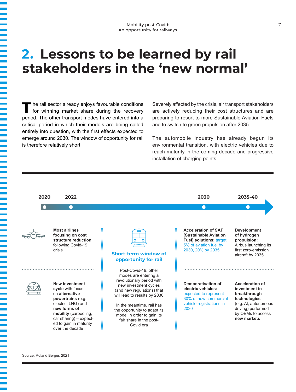## **2. Lessons to be learned by rail stakeholders in the 'new normal'**

**T**he rail sector already enjoys favourable conditions for winning market share during the recovery period. The other transport modes have entered into a critical period in which their models are being called entirely into question, with the first effects expected to emerge around 2030. The window of opportunity for rail is therefore relatively short.

Severely affected by the crisis, air transport stakeholders are actively reducing their cost structures and are preparing to resort to more Sustainable Aviation Fuels and to switch to green propulsion after 2035.

The automobile industry has already begun its environmental transition, with electric vehicles due to reach maturity in the coming decade and progressive installation of charging points.



Source: Roland Berger, 2021

<u> 1974 - President Amerika III da bat da bat da bat da bat da bat da bat da bat da bat da bat da bat da bat da</u>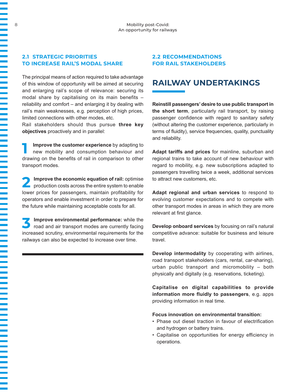### **2.1 STRATEGIC PRIORITIES TO INCREASE RAIL'S MODAL SHARE**

The principal means of action required to take advantage of this window of opportunity will be aimed at securing and enlarging rail's scope of relevance: securing its modal share by capitalising on its main benefits – reliability and comfort – and enlarging it by dealing with rail's main weaknesses, e.g. perception of high prices, limited connections with other modes, etc.

Rail stakeholders should thus pursue **three key objectives** proactively and in parallel:

**1 Improve the customer experience** by adapting to new mobility and consumption behaviour and drawing on the benefits of rail in comparison to other transport modes.

**2 Improve the economic equation of rail:** optimise production costs across the entire system to enable lower prices for passengers, maintain profitability for operators and enable investment in order to prepare for the future while maintaining acceptable costs for all.

**3 Improve environmental performance:** while the road and air transport modes are currently facing increased scrutiny, environmental requirements for the railways can also be expected to increase over time.

### **2.2 RECOMMENDATIONS FOR RAIL STAKEHOLDERS**

## **RAILWAY UNDERTAKINGS**

**Reinstill passengers' desire to use public transport in the short term**, particularly rail transport, by raising passenger confidence with regard to sanitary safety (without altering the customer experience, particularly in terms of fluidity), service frequencies, quality, punctuality and reliability.

**Adapt tariffs and prices** for mainline, suburban and regional trains to take account of new behaviour with regard to mobility, e.g. new subscriptions adapted to passengers travelling twice a week, additional services to attract new customers, etc.

**Adapt regional and urban services** to respond to evolving customer expectations and to compete with other transport modes in areas in which they are more relevant at first glance.

**Develop onboard services** by focusing on rail's natural competitive advance: suitable for business and leisure travel.

**Develop intermodality** by cooperating with airlines, road transport stakeholders (cars, rental, car-sharing), urban public transport and micromobility – both physically and digitally (e.g. reservations, ticketing).

**Capitalise on digital capabilities to provide information more fluidly to passengers**, e.g. apps providing information in real time.

**Focus innovation on environmental transition:**

- Phase out diesel traction in favour of electrification and hydrogen or battery trains.
- Capitalise on opportunities for energy efficiency in operations.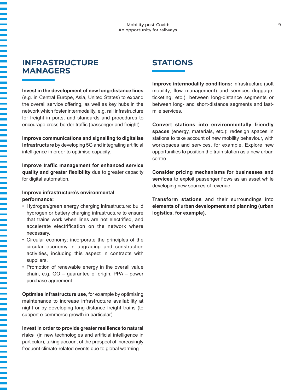### **INFRASTRUCTURE MANAGERS**

**Invest in the development of new long-distance lines**  (e.g. in Central Europe, Asia, United States) to expand the overall service offering, as well as key hubs in the network which foster intermodality, e.g. rail infrastructure for freight in ports, and standards and procedures to encourage cross-border traffic (passenger and freight).

**Improve communications and signalling to digitalise infrastructure** by developing 5G and integrating artificial intelligence in order to optimise capacity.

**Improve traffic management for enhanced service quality and greater flexibility** due to greater capacity for digital automation.

### **Improve infrastructure's environmental performance:**

- Hydrogen/green energy charging infrastructure: build hydrogen or battery charging infrastructure to ensure that trains work when lines are not electrified, and accelerate electrification on the network where necessary.
- Circular economy: incorporate the principles of the circular economy in upgrading and construction activities, including this aspect in contracts with suppliers.
- Promotion of renewable energy in the overall value chain, e.g. GO – guarantee of origin, PPA – power purchase agreement.

**Optimise infrastructure use**, for example by optimising maintenance to increase infrastructure availability at night or by developing long-distance freight trains (to support e-commerce growth in particular).

### **Invest in order to provide greater resilience to natural**

**risks** (in new technologies and artificial intelligence in particular), taking account of the prospect of increasingly frequent climate-related events due to global warming.

## **STATIONS**

**Improve intermodality conditions:** infrastructure (soft mobility, flow management) and services (luggage, ticketing, etc.), between long-distance segments or between long- and short-distance segments and lastmile services.

**Convert stations into environmentally friendly spaces** (energy, materials, etc.): redesign spaces in stations to take account of new mobility behaviour, with workspaces and services, for example. Explore new opportunities to position the train station as a new urban centre.

**Consider pricing mechanisms for businesses and services** to exploit passenger flows as an asset while developing new sources of revenue.

**Transform stations** and their surroundings into **elements of urban development and planning (urban logistics, for example).**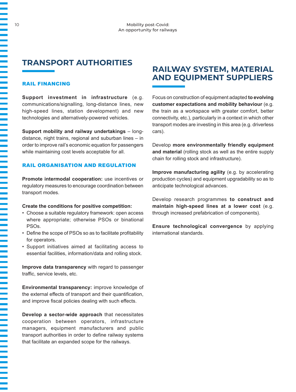## **TRANSPORT AUTHORITIES**

### RAIL FINANCING

**Support investment in infrastructure** (e.g. communications/signalling, long-distance lines, new high-speed lines, station development) and new technologies and alternatively-powered vehicles.

**Support mobility and railway undertakings** – longdistance, night trains, regional and suburban lines – in order to improve rail's economic equation for passengers while maintaining cost levels acceptable for all.

### RAIL ORGANISATION AND REGULATION

**Promote intermodal cooperation:** use incentives or regulatory measures to encourage coordination between transport modes.

#### **Create the conditions for positive competition:**

- Choose a suitable regulatory framework: open access where appropriate; otherwise PSOs or binational PSOs.
- Define the scope of PSOs so as to facilitate profitability for operators.
- Support initiatives aimed at facilitating access to essential facilities, information/data and rolling stock.

**Improve data transparency** with regard to passenger traffic, service levels, etc.

**Environmental transparency:** improve knowledge of the external effects of transport and their quantification, and improve fiscal policies dealing with such effects.

**Develop a sector-wide approach** that necessitates cooperation between operators, infrastructure managers, equipment manufacturers and public transport authorities in order to define railway systems that facilitate an expanded scope for the railways.

### **RAILWAY SYSTEM, MATERIAL AND EQUIPMENT SUPPLIERS**

Focus on construction of equipment adapted **to evolving customer expectations and mobility behaviour** (e.g. the train as a workspace with greater comfort, better connectivity, etc.), particularly in a context in which other transport modes are investing in this area (e.g. driverless cars).

Develop **more environmentally friendly equipment and material** (rolling stock as well as the entire supply chain for rolling stock and infrastructure).

**Improve manufacturing agility** (e.g. by accelerating production cycles) and equipment upgradability so as to anticipate technological advances.

Develop research programmes **to construct and maintain high-speed lines at a lower cost** (e.g. through increased prefabrication of components).

**Ensure technological convergence** by applying international standards.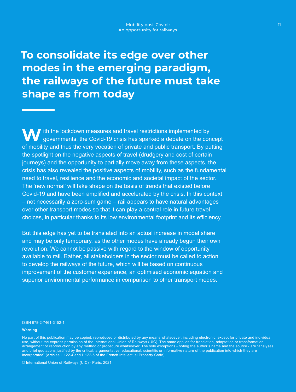## **To consolidate its edge over other modes in the emerging paradigm, the railways of the future must take shape as from today**

**W** ith the lockdown measures and travel restrictions implemented by governments, the Covid-19 crisis has sparked a debate on the concept of mobility and thus the very vocation of private and public transport. By putting the spotlight on the negative aspects of travel (drudgery and cost of certain journeys) and the opportunity to partially move away from these aspects, the crisis has also revealed the positive aspects of mobility, such as the fundamental need to travel, resilience and the economic and societal impact of the sector. The 'new normal' will take shape on the basis of trends that existed before Covid-19 and have been amplified and accelerated by the crisis. In this context – not necessarily a zero-sum game – rail appears to have natural advantages over other transport modes so that it can play a central role in future travel choices, in particular thanks to its low environmental footprint and its efficiency.

But this edge has yet to be translated into an actual increase in modal share and may be only temporary, as the other modes have already begun their own revolution. We cannot be passive with regard to the window of opportunity available to rail. Rather, all stakeholders in the sector must be called to action to develop the railways of the future, which will be based on continuous improvement of the customer experience, an optimised economic equation and superior environmental performance in comparison to other transport modes.

#### ISBN 978-2-7461-3152-1

#### **Warning**

© International Union of Railways (UIC) - Paris, 2021

No part of this publication may be copied, reproduced or distributed by any means whatsoever, including electronic, except for private and individual use, without the express permission of the International Union of Railways (UIC). The same applies for translation, adaptation or transformation, arrangement or reproduction by any method or procedure whatsoever. The sole exceptions - noting the author's name and the source - are "analyses and brief quotations justified by the critical, argumentative, educational, scientific or informative nature of the publication into which they are incorporated" (Articles L 122-4 and L 122-5 of the French Intellectual Property Code).